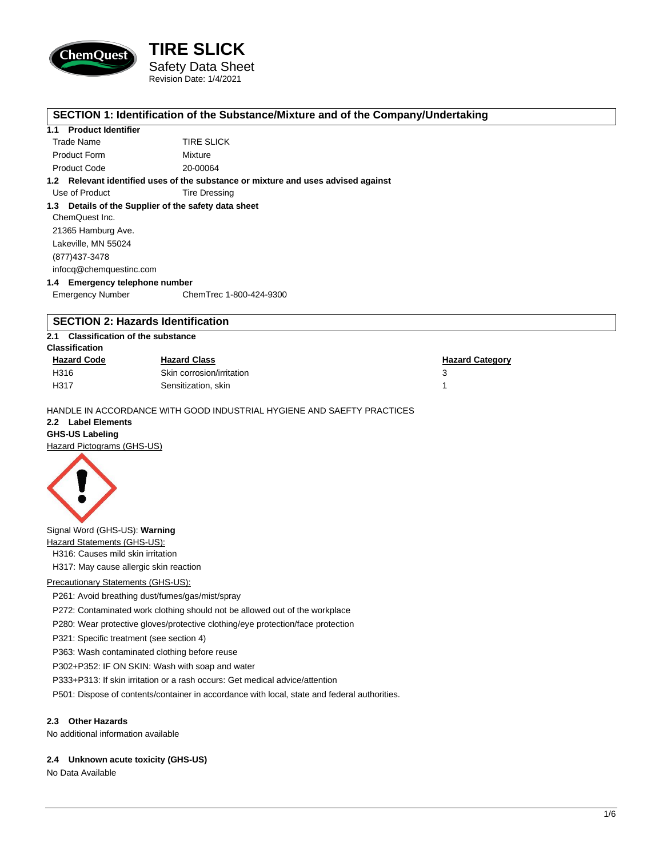

# **TIRE SLICK** Safety Data Sheet Revision Date: 1/4/2021

#### **SECTION 1: Identification of the Substance/Mixture and of the Company/Undertaking**

#### **1.1 Product Identifier**

| Trade Name          | <b>TIRE SLICK</b> |
|---------------------|-------------------|
| <b>Product Form</b> | Mixture           |
| <b>Product Code</b> | 20-00064          |

**1.2 Relevant identified uses of the substance or mixture and uses advised against**

Use of Product Tire Dressing

**1.3 Details of the Supplier of the safety data sheet** ChemQuest Inc. 21365 Hamburg Ave. Lakeville, MN 55024 (877)437-3478 infocq@chemquestinc.com

**1.4 Emergency telephone number** Emergency Number ChemTrec 1-800-424-9300

# **SECTION 2: Hazards Identification**

#### **2.1 Classification of the substance**

| <b>Classification</b> |                           |                        |  |
|-----------------------|---------------------------|------------------------|--|
| <b>Hazard Code</b>    | <b>Hazard Class</b>       | <b>Hazard Category</b> |  |
| H316                  | Skin corrosion/irritation |                        |  |
| H317                  | Sensitization, skin       |                        |  |

HANDLE IN ACCORDANCE WITH GOOD INDUSTRIAL HYGIENE AND SAEFTY PRACTICES

# **2.2 Label Elements**

**GHS-US Labeling** Hazard Pictograms (GHS-US)



Signal Word (GHS-US): **Warning** Hazard Statements (GHS-US):

H316: Causes mild skin irritation

H317: May cause allergic skin reaction

#### Precautionary Statements (GHS-US):

P261: Avoid breathing dust/fumes/gas/mist/spray

P272: Contaminated work clothing should not be allowed out of the workplace

P280: Wear protective gloves/protective clothing/eye protection/face protection

P321: Specific treatment (see section 4)

P363: Wash contaminated clothing before reuse

P302+P352: IF ON SKIN: Wash with soap and water

P333+P313: If skin irritation or a rash occurs: Get medical advice/attention

P501: Dispose of contents/container in accordance with local, state and federal authorities.

#### **2.3 Other Hazards**

No additional information available

#### **2.4 Unknown acute toxicity (GHS-US)**

No Data Available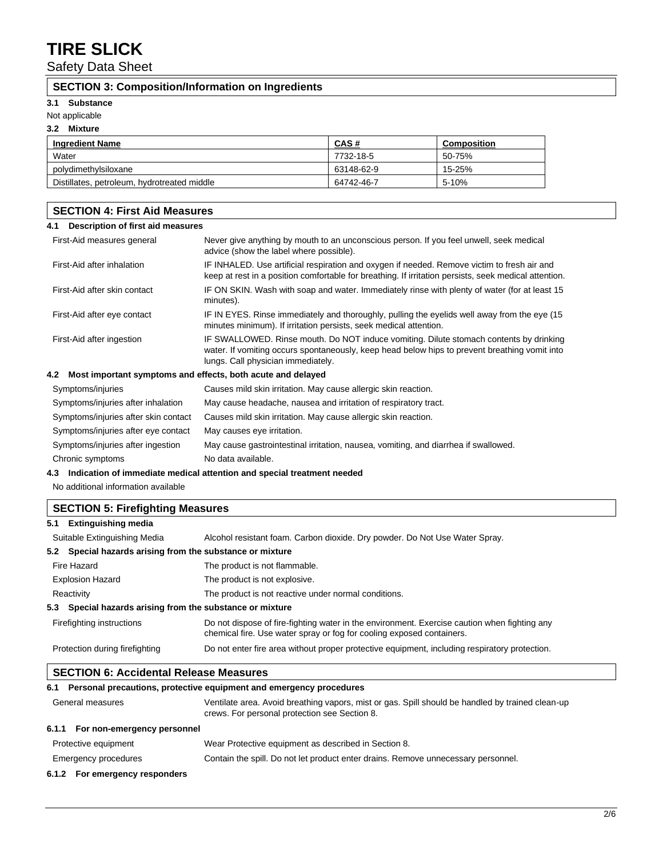Safety Data Sheet

### **SECTION 3: Composition/Information on Ingredients**

#### **3.1 Substance**

Not applicable

#### **3.2 Mixture**

| <b>Ingredient Name</b>                      | CAS#       | Composition |
|---------------------------------------------|------------|-------------|
| Water                                       | 7732-18-5  | 50-75%      |
| polydimethylsiloxane                        | 63148-62-9 | 15-25%      |
| Distillates, petroleum, hydrotreated middle | 64742-46-7 | 5-10%       |

# **SECTION 4: First Aid Measures**

| Description of first aid measures<br>4.1                                   |                                                                                                                                                                                                                               |  |
|----------------------------------------------------------------------------|-------------------------------------------------------------------------------------------------------------------------------------------------------------------------------------------------------------------------------|--|
| First-Aid measures general                                                 | Never give anything by mouth to an unconscious person. If you feel unwell, seek medical<br>advice (show the label where possible).                                                                                            |  |
| First-Aid after inhalation                                                 | IF INHALED. Use artificial respiration and oxygen if needed. Remove victim to fresh air and<br>keep at rest in a position comfortable for breathing. If irritation persists, seek medical attention.                          |  |
| First-Aid after skin contact                                               | IF ON SKIN. Wash with soap and water. Immediately rinse with plenty of water (for at least 15<br>minutes).                                                                                                                    |  |
| First-Aid after eye contact                                                | IF IN EYES. Rinse immediately and thoroughly, pulling the eyelids well away from the eye (15<br>minutes minimum). If irritation persists, seek medical attention.                                                             |  |
| First-Aid after ingestion                                                  | IF SWALLOWED. Rinse mouth. Do NOT induce vomiting. Dilute stomach contents by drinking<br>water. If vomiting occurs spontaneously, keep head below hips to prevent breathing vomit into<br>lungs. Call physician immediately. |  |
| Most important symptoms and effects, both acute and delayed<br>4.2         |                                                                                                                                                                                                                               |  |
| Symptoms/injuries                                                          | Causes mild skin irritation. May cause allergic skin reaction.                                                                                                                                                                |  |
| Symptoms/injuries after inhalation                                         | May cause headache, nausea and irritation of respiratory tract.                                                                                                                                                               |  |
| Symptoms/injuries after skin contact                                       | Causes mild skin irritation. May cause allergic skin reaction.                                                                                                                                                                |  |
| Symptoms/injuries after eye contact                                        | May causes eye irritation.                                                                                                                                                                                                    |  |
| Symptoms/injuries after ingestion                                          | May cause gastrointestinal irritation, nausea, vomiting, and diarrhea if swallowed.                                                                                                                                           |  |
| Chronic symptoms                                                           | No data available.                                                                                                                                                                                                            |  |
| 4.3 Indication of immediate medical attention and special treatment needed |                                                                                                                                                                                                                               |  |

No additional information available

### **SECTION 5: Firefighting Measures**

| 5.1 Extinguishing media                                   |                                                                                                                                                                       |  |
|-----------------------------------------------------------|-----------------------------------------------------------------------------------------------------------------------------------------------------------------------|--|
| Suitable Extinguishing Media                              | Alcohol resistant foam. Carbon dioxide. Dry powder. Do Not Use Water Spray.                                                                                           |  |
| 5.2 Special hazards arising from the substance or mixture |                                                                                                                                                                       |  |
| Fire Hazard                                               | The product is not flammable.                                                                                                                                         |  |
| <b>Explosion Hazard</b>                                   | The product is not explosive.                                                                                                                                         |  |
| Reactivity                                                | The product is not reactive under normal conditions.                                                                                                                  |  |
| 5.3 Special hazards arising from the substance or mixture |                                                                                                                                                                       |  |
| Firefighting instructions                                 | Do not dispose of fire-fighting water in the environment. Exercise caution when fighting any<br>chemical fire. Use water spray or fog for cooling exposed containers. |  |
| Protection during firefighting                            | Do not enter fire area without proper protective equipment, including respiratory protection.                                                                         |  |

#### **SECTION 6: Accidental Release Measures**

### **6.1 Personal precautions, protective equipment and emergency procedures**

| General measures                  | Ventilate area. Avoid breathing vapors, mist or gas. Spill should be handled by trained clean-up<br>crews. For personal protection see Section 8. |
|-----------------------------------|---------------------------------------------------------------------------------------------------------------------------------------------------|
| 6.1.1 For non-emergency personnel |                                                                                                                                                   |
| Protective equipment              | Wear Protective equipment as described in Section 8.                                                                                              |
| Emergency procedures              | Contain the spill. Do not let product enter drains. Remove unnecessary personnel.                                                                 |
| 6.1.2 For emergency responders    |                                                                                                                                                   |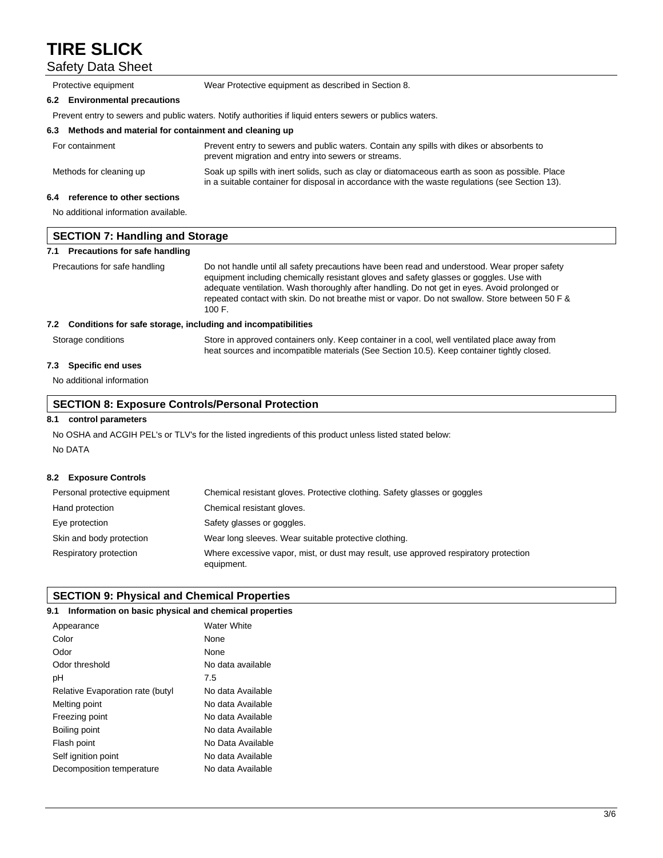Safety Data Sheet

|     | Protective equipment                                                                                     | Wear Protective equipment as described in Section 8.                                                                                                                                               |  |
|-----|----------------------------------------------------------------------------------------------------------|----------------------------------------------------------------------------------------------------------------------------------------------------------------------------------------------------|--|
|     | 6.2 Environmental precautions                                                                            |                                                                                                                                                                                                    |  |
|     | Prevent entry to sewers and public waters. Notify authorities if liquid enters sewers or publics waters. |                                                                                                                                                                                                    |  |
|     | Methods and material for containment and cleaning up<br>6.3                                              |                                                                                                                                                                                                    |  |
|     | For containment                                                                                          | Prevent entry to sewers and public waters. Contain any spills with dikes or absorbents to<br>prevent migration and entry into sewers or streams.                                                   |  |
|     | Methods for cleaning up                                                                                  | Soak up spills with inert solids, such as clay or diatomaceous earth as soon as possible. Place<br>in a suitable container for disposal in accordance with the waste regulations (see Section 13). |  |
| 6.4 | reference to other sections                                                                              |                                                                                                                                                                                                    |  |
|     | No additional information available.                                                                     |                                                                                                                                                                                                    |  |

| SECTION 7: Handling and Storage   |                                                                                              |  |
|-----------------------------------|----------------------------------------------------------------------------------------------|--|
| 7.1 Precautions for safe handling |                                                                                              |  |
| Precautions for safe handling     | Do not handle until all safety precautions have been read and understood. Wear proper safety |  |

equipment including chemically resistant gloves and safety glasses or goggles. Use with adequate ventilation. Wash thoroughly after handling. Do not get in eyes. Avoid prolonged or repeated contact with skin. Do not breathe mist or vapor. Do not swallow. Store between 50 F & 100 F.

#### **7.2 Conditions for safe storage, including and incompatibilities**

Storage conditions Store in approved containers only. Keep container in a cool, well ventilated place away from heat sources and incompatible materials (See Section 10.5). Keep container tightly closed.

#### **7.3 Specific end uses**

No additional information

#### **SECTION 8: Exposure Controls/Personal Protection**

#### **8.1 control parameters**

No OSHA and ACGIH PEL's or TLV's for the listed ingredients of this product unless listed stated below: No DATA

#### **8.2 Exposure Controls**

| Personal protective equipment | Chemical resistant gloves. Protective clothing. Safety glasses or goggles                          |
|-------------------------------|----------------------------------------------------------------------------------------------------|
| Hand protection               | Chemical resistant gloves.                                                                         |
| Eye protection                | Safety glasses or goggles.                                                                         |
| Skin and body protection      | Wear long sleeves. Wear suitable protective clothing.                                              |
| Respiratory protection        | Where excessive vapor, mist, or dust may result, use approved respiratory protection<br>equipment. |

#### **SECTION 9: Physical and Chemical Properties**

#### **9.1 Information on basic physical and chemical properties**

| Appearance                       | Water White       |
|----------------------------------|-------------------|
| Color                            | None              |
| Odor                             | None              |
| Odor threshold                   | No data available |
| рH                               | 7.5               |
| Relative Evaporation rate (butyl | No data Available |
| Melting point                    | No data Available |
| Freezing point                   | No data Available |
| Boiling point                    | No data Available |
| Flash point                      | No Data Available |
| Self ignition point              | No data Available |
| Decomposition temperature        | No data Available |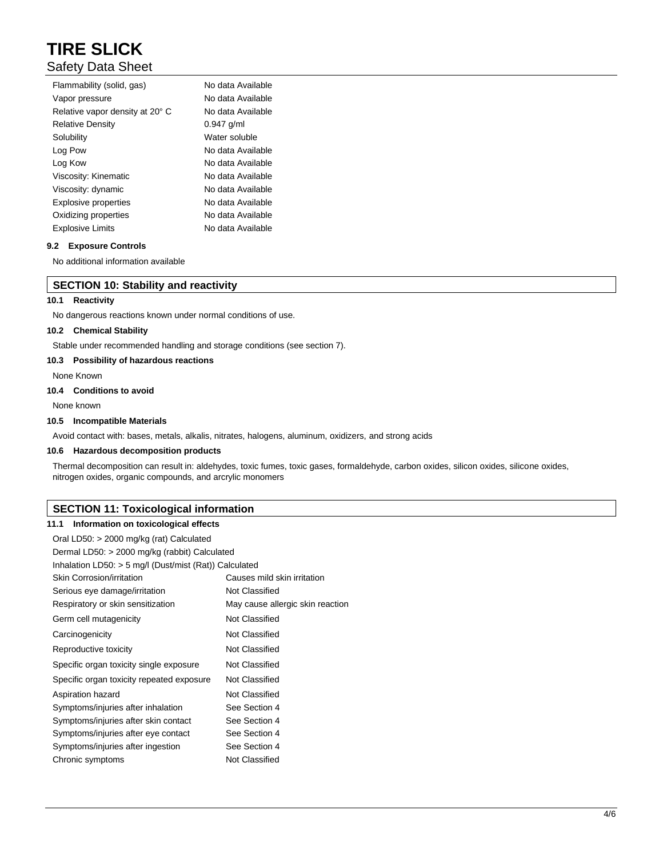# Safety Data Sheet

| Flammability (solid, gas)       | No data Available |
|---------------------------------|-------------------|
| Vapor pressure                  | No data Available |
| Relative vapor density at 20° C | No data Available |
| <b>Relative Density</b>         | $0.947$ g/ml      |
| Solubility                      | Water soluble     |
| Log Pow                         | No data Available |
| Log Kow                         | No data Available |
| Viscosity: Kinematic            | No data Available |
| Viscosity: dynamic              | No data Available |
| <b>Explosive properties</b>     | No data Available |
| Oxidizing properties            | No data Available |
| <b>Explosive Limits</b>         | No data Available |

#### **9.2 Exposure Controls**

No additional information available

#### **SECTION 10: Stability and reactivity**

#### **10.1 Reactivity**

No dangerous reactions known under normal conditions of use.

#### **10.2 Chemical Stability**

Stable under recommended handling and storage conditions (see section 7).

#### **10.3 Possibility of hazardous reactions**

None Known

#### **10.4 Conditions to avoid**

None known

#### **10.5 Incompatible Materials**

Avoid contact with: bases, metals, alkalis, nitrates, halogens, aluminum, oxidizers, and strong acids

#### **10.6 Hazardous decomposition products**

Thermal decomposition can result in: aldehydes, toxic fumes, toxic gases, formaldehyde, carbon oxides, silicon oxides, silicone oxides, nitrogen oxides, organic compounds, and arcrylic monomers

# **SECTION 11: Toxicological information**

#### **11.1 Information on toxicological effects**

| Oral LD50: > 2000 mg/kg (rat) Calculated                 |                                  |  |
|----------------------------------------------------------|----------------------------------|--|
| Dermal LD50: > 2000 mg/kg (rabbit) Calculated            |                                  |  |
| Inhalation LD50: $>$ 5 mg/l (Dust/mist (Rat)) Calculated |                                  |  |
| Skin Corrosion/irritation                                | Causes mild skin irritation      |  |
| Serious eye damage/irritation                            | Not Classified                   |  |
| Respiratory or skin sensitization                        | May cause allergic skin reaction |  |
| Germ cell mutagenicity                                   | Not Classified                   |  |
| Carcinogenicity                                          | Not Classified                   |  |
| Reproductive toxicity                                    | Not Classified                   |  |
| Specific organ toxicity single exposure                  | Not Classified                   |  |
| Specific organ toxicity repeated exposure                | Not Classified                   |  |
| Aspiration hazard                                        | Not Classified                   |  |
| Symptoms/injuries after inhalation                       | See Section 4                    |  |
| Symptoms/injuries after skin contact                     | See Section 4                    |  |
| Symptoms/injuries after eye contact                      | See Section 4                    |  |
| Symptoms/injuries after ingestion                        | See Section 4                    |  |
| Chronic symptoms                                         | Not Classified                   |  |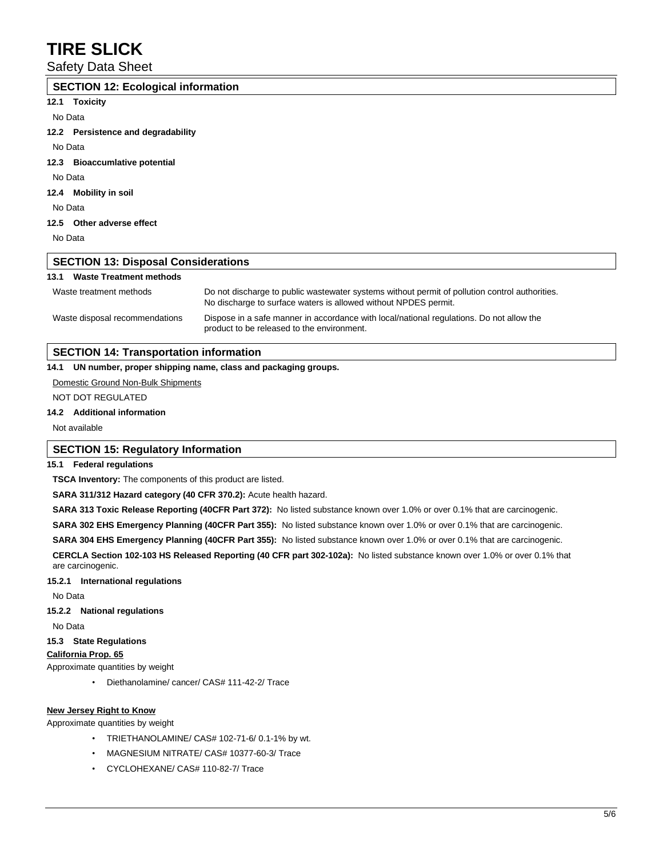### Safety Data Sheet

### **SECTION 12: Ecological information 12.1 Toxicity**

No Data

**12.2 Persistence and degradability**

No Data

#### **12.3 Bioaccumlative potential**

No Data

#### **12.4 Mobility in soil**

No Data

#### **12.5 Other adverse effect**

No Data

### **SECTION 13: Disposal Considerations**

#### **13.1 Waste Treatment methods**

| Waste treatment methods        | Do not discharge to public wastewater systems without permit of pollution control authorities.<br>No discharge to surface waters is allowed without NPDES permit. |
|--------------------------------|-------------------------------------------------------------------------------------------------------------------------------------------------------------------|
| Waste disposal recommendations | Dispose in a safe manner in accordance with local/national regulations. Do not allow the<br>product to be released to the environment.                            |

### **SECTION 14: Transportation information**

#### **14.1 UN number, proper shipping name, class and packaging groups.**

#### Domestic Ground Non-Bulk Shipments

NOT DOT REGULATED

#### **14.2 Additional information**

Not available

#### **SECTION 15: Regulatory Information**

#### **15.1 Federal regulations**

**TSCA Inventory:** The components of this product are listed.

**SARA 311/312 Hazard category (40 CFR 370.2):** Acute health hazard.

**SARA 313 Toxic Release Reporting (40CFR Part 372):** No listed substance known over 1.0% or over 0.1% that are carcinogenic.

**SARA 302 EHS Emergency Planning (40CFR Part 355):** No listed substance known over 1.0% or over 0.1% that are carcinogenic.

**SARA 304 EHS Emergency Planning (40CFR Part 355):** No listed substance known over 1.0% or over 0.1% that are carcinogenic.

**CERCLA Section 102-103 HS Released Reporting (40 CFR part 302-102a):** No listed substance known over 1.0% or over 0.1% that are carcinogenic.

#### **15.2.1 International regulations**

No Data

#### **15.2.2 National regulations**

No Data

#### **15.3 State Regulations**

#### **California Prop. 65**

Approximate quantities by weight

• Diethanolamine/ cancer/ CAS# 111-42-2/ Trace

#### **New Jersey Right to Know**

Approximate quantities by weight

- TRIETHANOLAMINE/ CAS# 102-71-6/ 0.1-1% by wt.
- MAGNESIUM NITRATE/ CAS# 10377-60-3/ Trace
- CYCLOHEXANE/ CAS# 110-82-7/ Trace